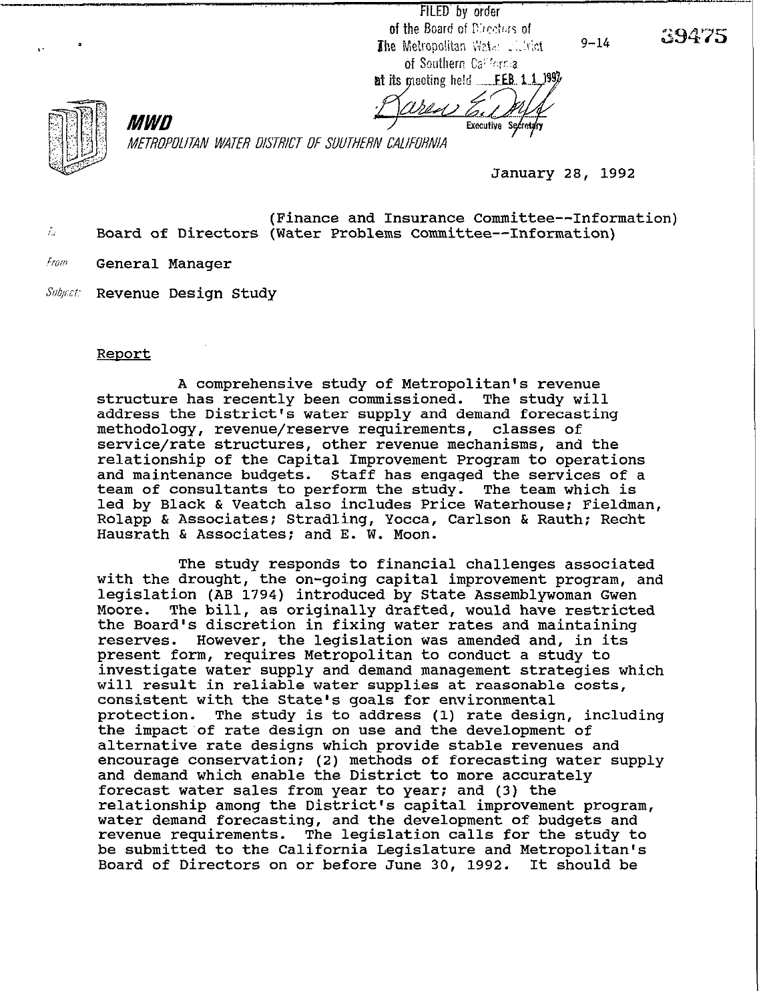FILED by order of the Board of Directors of  $9 - 14$ The Metropolitan Water ciliciat of Southern: California

Executive Secretary

**at its meeting held ELSE 1.1** 

19475



MWD *METRDPDLITAN WATER DISTRICT OF SOUTHERN CALIFDf7NlA* 

January 28, 1992

1997

(Finance and Insurance Committee--Information)  $\hbar$  Board of Directors (Water Problems Committee--Information)

From General Manager

Subject: Revenue Design Study

## Report

A comprehensive study of Metropolitan's revenue structure has recently been commissioned. The study will address the District's water supply and demand forecasting methodology, revenue/reserve requirements, classes of service/rate structures, other revenue mechanisms, and the relationship of the Capital Improvement Program to operations and maintenance budgets. Staff has engaged the services of a team of consultants to perform the study. led by Black & Veatch also includes Price Waterhouse; Fieldman, Rolapp & Associates; Stradling, Yocca, Carlson & Rauth; Recht Hausrath & Associates; and E. W. Moon.

The study responds to financial challenges associated with the drought, the on-going capital improvement program, and legislation (AB 1794) introduced by State Assemblywoman Gwen<br>Moore. The bill, as originally drafted, would have restrict The bill, as originally drafted, would have restricted the Board's discretion in fixing water rates and maintaining **reserves.** However, the legislation was amended and, in its present form, requires Metropolitan to conduct a study to investigate water supply and demand management strategies which will result in reliable water supplies at reasonable costs, consistent with the State's goals for environmental protection. The study is to address (1) rate design, including<br>the innest of wate design on use and the development of the impact of rate design on use and the development of alternative rate designs which provide stable revenues and encourage conservation; (2) methods of forecasting water supply and demand which enable the District to more accurately forecast water sales from year to year; and (3) the relationship among the District's capital improvement program, water demand forecasting, and the development of budgets and revenue requirements. The legislation calls for the study to be submitted to the California Legislature and Metropolitan's Board of Directors on or before June 30, 1992. It should be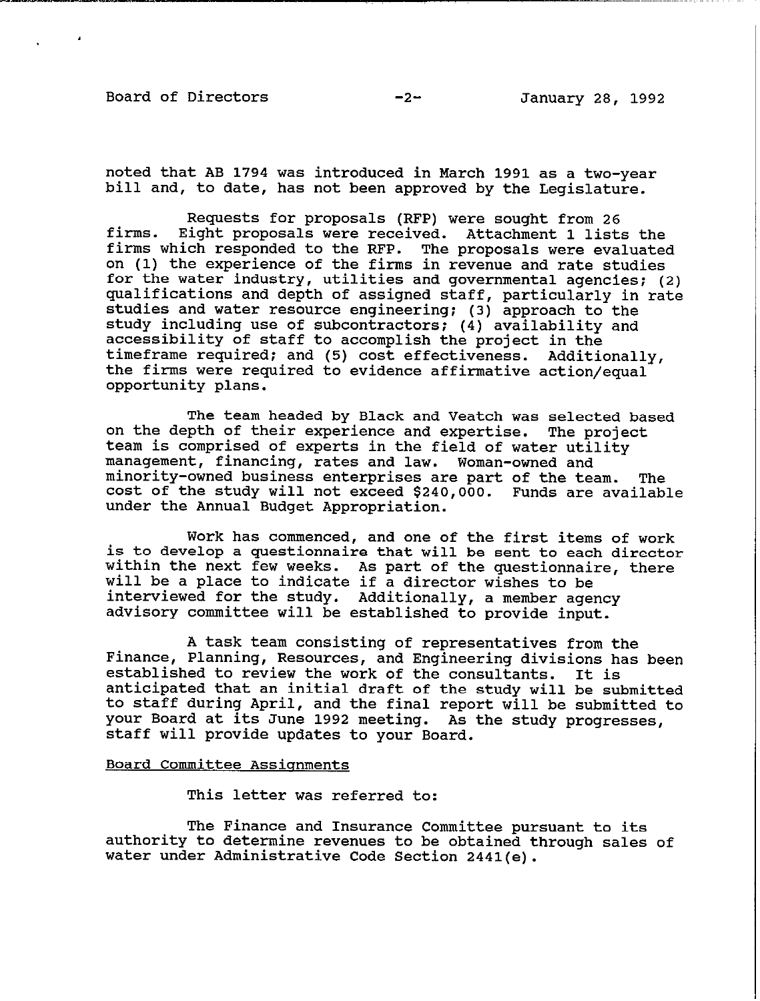. . . . . . . 7

noted that AB 1794 was introduced in March 1991 as a two-year bill and, to date, has not been approved by the Legislature.

firms. Requests for proposals (RFP) were sought from 26 Eight proposals were received. Attachment 1 lists the firms which responded to the RFP. The proposals were evaluated on (1) the experience of the firms in revenue and rate studies for the water industry, utilities and governmental agencies: (2) qualifications and depth of assigned staff, particularly in rate studies and water resource engineering: (3) approach to the study including use of subcontractors: (4) availability and accessibility of staff to accomplish the project in the timeframe required; and (5) cost effectiveness. Additionally, the firms were required to evidence affirmative action/equal opportunity plans.

The team headed by Black and Veatch was selected based on the depth of their experience and expertise. The project team is comprised of experts in the field of water utility management, financing, rates and law. Woman-owned and minority-owned business enterprises are part of the team. The cost of the study will not exceed \$240,000. Funds are available under the Annual Budget Appropriation.

Work has commenced, and one of the first items of work is to develop a questionnaire that will be sent to each director within the next few weeks. As part of the questionnaire, there will be a place to indicate if a director wishes to be interviewed for the study. Additionally, a member agency advisory committee will be established to provide input.

A task team consisting of representatives from the Finance, Planning, Resources, and Engineering divisions has been established to review the work of the consultants. It is anticipated that an initial draft of the study will be submitted to staff during April, and the final report will be submitted to your Board at its June 1992 meeting. As the study progresses, staff will provide updates to your Board.

## Board Committee Assignments

This letter was referred to:

The Finance and Insurance Committee pursuant to its authority to determine revenues to be obtained through sales of water under Administrative Code Section 2441(e).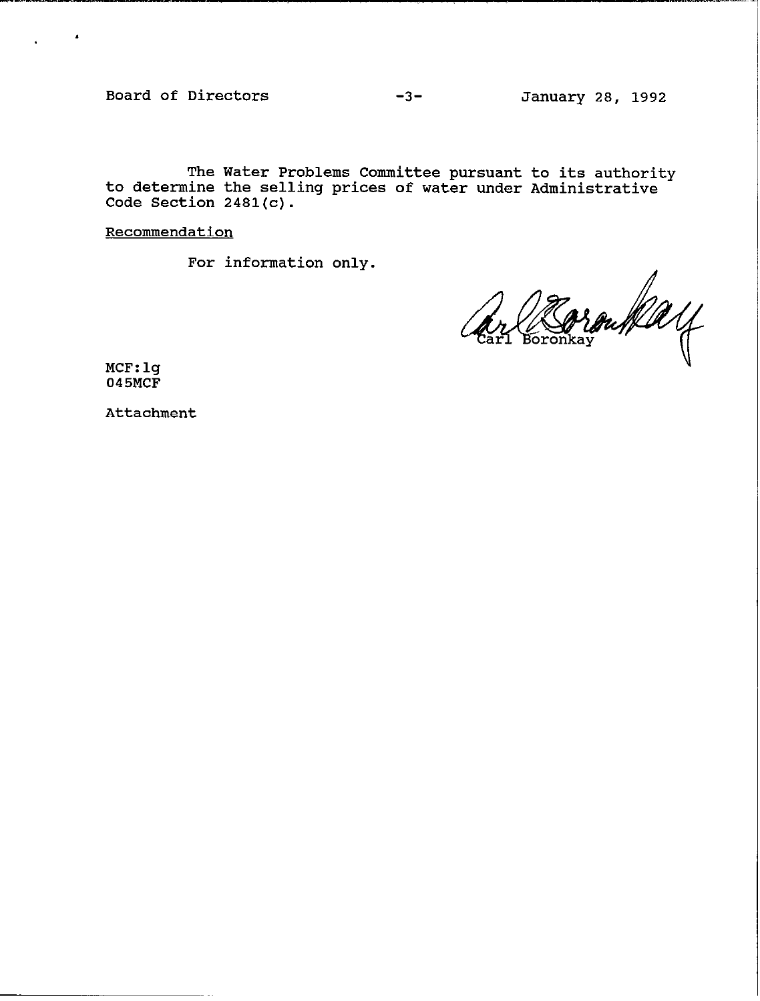Board of Directors -3- January 28, 1992

. '

The Water Problems Committee pursuant to its authority to determine the selling prices of water under Administrative Code Section 2481(c).

**Recommendation** 

For information only.

Ar Coronkay

MCF:lg 045MCF

Attachment